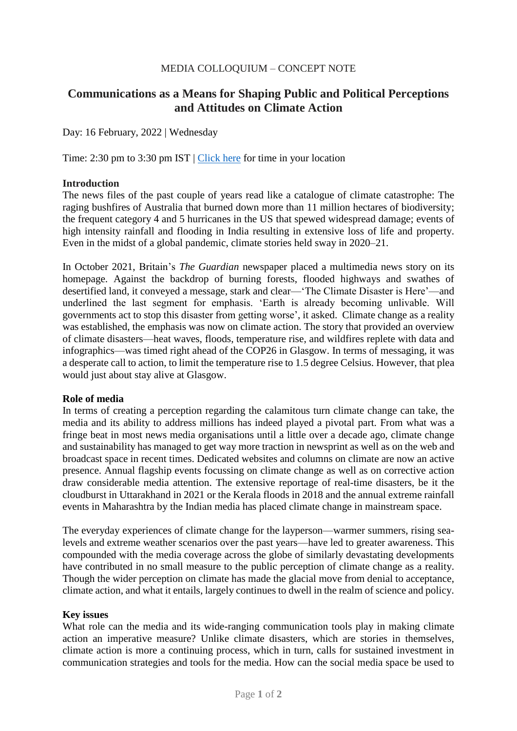### MEDIA COLLOQUIUM – CONCEPT NOTE

# **Communications as a Means for Shaping Public and Political Perceptions and Attitudes on Climate Action**

Day: 16 February, 2022 | Wednesday

Time: 2:30 pm to 3:30 pm IST | [Click here](https://www.timeanddate.com/worldclock/fixedtime.html?msg=WSDS+2022+-+Media+Colloquium&iso=20220216T1430&p1=176&ah=1) for time in your location

### **Introduction**

The news files of the past couple of years read like a catalogue of climate catastrophe: The raging bushfires of Australia that burned down more than 11 million hectares of biodiversity; the frequent category 4 and 5 hurricanes in the US that spewed widespread damage; events of high intensity rainfall and flooding in India resulting in extensive loss of life and property. Even in the midst of a global pandemic, climate stories held sway in 2020–21.

In October 2021, Britain's *The Guardian* newspaper placed a multimedia news story on its homepage. Against the backdrop of burning forests, flooded highways and swathes of desertified land, it conveyed a message, stark and clear—'The Climate Disaster is Here'—and underlined the last segment for emphasis. 'Earth is already becoming unlivable. Will governments act to stop this disaster from getting worse', it asked. Climate change as a reality was established, the emphasis was now on climate action. The story that provided an overview of climate disasters—heat waves, floods, temperature rise, and wildfires replete with data and infographics—was timed right ahead of the COP26 in Glasgow. In terms of messaging, it was a desperate call to action, to limit the temperature rise to 1.5 degree Celsius. However, that plea would just about stay alive at Glasgow.

### **Role of media**

In terms of creating a perception regarding the calamitous turn climate change can take, the media and its ability to address millions has indeed played a pivotal part. From what was a fringe beat in most news media organisations until a little over a decade ago, climate change and sustainability has managed to get way more traction in newsprint as well as on the web and broadcast space in recent times. Dedicated websites and columns on climate are now an active presence. Annual flagship events focussing on climate change as well as on corrective action draw considerable media attention. The extensive reportage of real-time disasters, be it the cloudburst in Uttarakhand in 2021 or the Kerala floods in 2018 and the annual extreme rainfall events in Maharashtra by the Indian media has placed climate change in mainstream space.

The everyday experiences of climate change for the layperson—warmer summers, rising sealevels and extreme weather scenarios over the past years—have led to greater awareness. This compounded with the media coverage across the globe of similarly devastating developments have contributed in no small measure to the public perception of climate change as a reality. Though the wider perception on climate has made the glacial move from denial to acceptance, climate action, and what it entails, largely continues to dwell in the realm of science and policy.

### **Key issues**

What role can the media and its wide-ranging communication tools play in making climate action an imperative measure? Unlike climate disasters, which are stories in themselves, climate action is more a continuing process, which in turn, calls for sustained investment in communication strategies and tools for the media. How can the social media space be used to